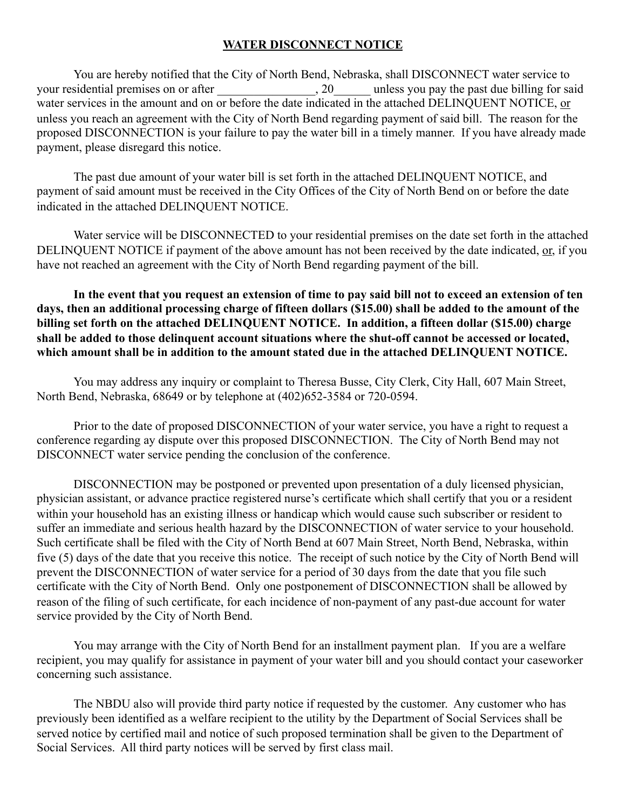## **WATER DISCONNECT NOTICE**

 You are hereby notified that the City of North Bend, Nebraska, shall DISCONNECT water service to your residential premises on or after  $\qquad \qquad , 20 \qquad \qquad$  unless you pay the past due billing for said water services in the amount and on or before the date indicated in the attached DELINQUENT NOTICE, or unless you reach an agreement with the City of North Bend regarding payment of said bill. The reason for the proposed DISCONNECTION is your failure to pay the water bill in a timely manner. If you have already made payment, please disregard this notice.

 The past due amount of your water bill is set forth in the attached DELINQUENT NOTICE, and payment of said amount must be received in the City Offices of the City of North Bend on or before the date indicated in the attached DELINQUENT NOTICE.

 Water service will be DISCONNECTED to your residential premises on the date set forth in the attached DELINQUENT NOTICE if payment of the above amount has not been received by the date indicated, or, if you have not reached an agreement with the City of North Bend regarding payment of the bill.

 **In the event that you request an extension of time to pay said bill not to exceed an extension of ten days, then an additional processing charge of fifteen dollars (\$15.00) shall be added to the amount of the billing set forth on the attached DELINQUENT NOTICE. In addition, a fifteen dollar (\$15.00) charge shall be added to those delinquent account situations where the shut-off cannot be accessed or located, which amount shall be in addition to the amount stated due in the attached DELINQUENT NOTICE.** 

 You may address any inquiry or complaint to Theresa Busse, City Clerk, City Hall, 607 Main Street, North Bend, Nebraska, 68649 or by telephone at (402)652-3584 or 720-0594.

 Prior to the date of proposed DISCONNECTION of your water service, you have a right to request a conference regarding ay dispute over this proposed DISCONNECTION. The City of North Bend may not DISCONNECT water service pending the conclusion of the conference.

 DISCONNECTION may be postponed or prevented upon presentation of a duly licensed physician, physician assistant, or advance practice registered nurse's certificate which shall certify that you or a resident within your household has an existing illness or handicap which would cause such subscriber or resident to suffer an immediate and serious health hazard by the DISCONNECTION of water service to your household. Such certificate shall be filed with the City of North Bend at 607 Main Street, North Bend, Nebraska, within five (5) days of the date that you receive this notice. The receipt of such notice by the City of North Bend will prevent the DISCONNECTION of water service for a period of 30 days from the date that you file such certificate with the City of North Bend. Only one postponement of DISCONNECTION shall be allowed by reason of the filing of such certificate, for each incidence of non-payment of any past-due account for water service provided by the City of North Bend.

 You may arrange with the City of North Bend for an installment payment plan. If you are a welfare recipient, you may qualify for assistance in payment of your water bill and you should contact your caseworker concerning such assistance.

 The NBDU also will provide third party notice if requested by the customer. Any customer who has previously been identified as a welfare recipient to the utility by the Department of Social Services shall be served notice by certified mail and notice of such proposed termination shall be given to the Department of Social Services. All third party notices will be served by first class mail.